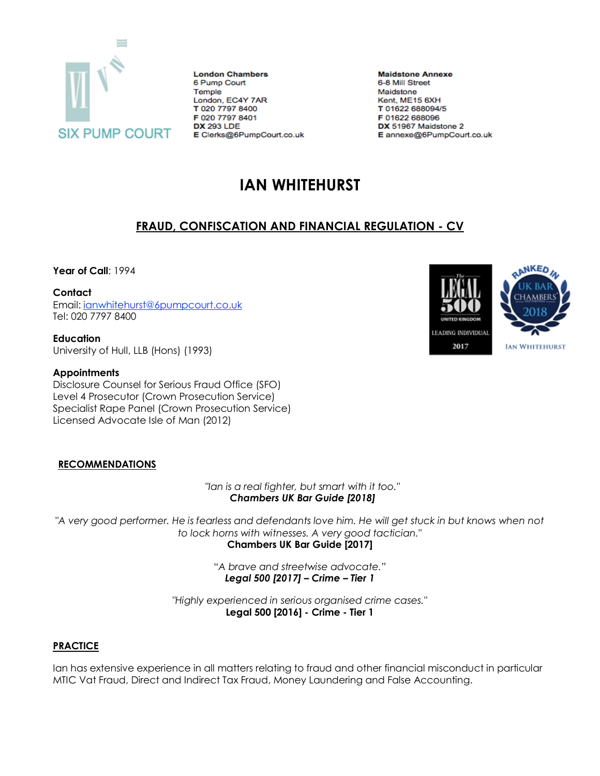

**London Chambers** 6 Pump Court Temple London, EC4Y 7AR T 020 7797 8400 F 020 7797 8401 **DX 293 LDE** E Clerks@6PumpCourt.co.uk

**Maidstone Annexe** 6-8 Mill Street Maidstone Kent, ME15 6XH T 01622 688094/5 F 01622 688096 DX 51967 Maidstone 2 E annexe@6PumpCourt.co.uk

# **IAN WHITEHURST**

## **FRAUD, CONFISCATION AND FINANCIAL REGULATION - CV**

**Year of Call**: 1994

**Contact**

Email: [ianwhitehurst@6pumpcourt.co.uk](mailto:ianwhitehurst@6pumpcourt.co.uk) Tel: 020 7797 8400

**Education** University of Hull, LLB (Hons) (1993)

## **Appointments**

Disclosure Counsel for Serious Fraud Office (SFO) Level 4 Prosecutor (Crown Prosecution Service) Specialist Rape Panel (Crown Prosecution Service) Licensed Advocate Isle of Man (2012)

## **RECOMMENDATIONS**

*"Ian is a real fighter, but smart with it too." Chambers UK Bar Guide [2018]*

*"A very good performer. He is fearless and defendants love him. He will get stuck in but knows when not to lock horns with witnesses. A very good tactician."* **Chambers UK Bar Guide [2017]**

> *"A brave and streetwise advocate." Legal 500 [2017] – Crime – Tier 1*

*"Highly experienced in serious organised crime cases."* **Legal 500 [2016] - Crime - Tier 1**

## **PRACTICE**

Ian has extensive experience in all matters relating to fraud and other financial misconduct in particular MTIC Vat Fraud, Direct and Indirect Tax Fraud, Money Laundering and False Accounting.

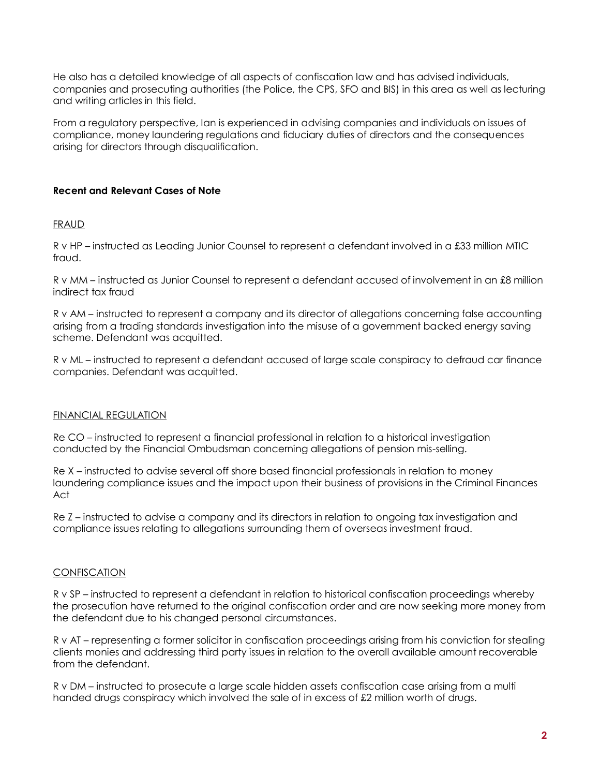He also has a detailed knowledge of all aspects of confiscation law and has advised individuals, companies and prosecuting authorities (the Police, the CPS, SFO and BIS) in this area as well as lecturing and writing articles in this field.

From a regulatory perspective, Ian is experienced in advising companies and individuals on issues of compliance, money laundering regulations and fiduciary duties of directors and the consequences arising for directors through disqualification.

## **Recent and Relevant Cases of Note**

#### FRAUD

R v HP – instructed as Leading Junior Counsel to represent a defendant involved in a £33 million MTIC fraud.

R v MM – instructed as Junior Counsel to represent a defendant accused of involvement in an £8 million indirect tax fraud

R v AM – instructed to represent a company and its director of allegations concerning false accounting arising from a trading standards investigation into the misuse of a government backed energy saving scheme. Defendant was acquitted.

R v ML – instructed to represent a defendant accused of large scale conspiracy to defraud car finance companies. Defendant was acquitted.

### FINANCIAL REGULATION

Re CO – instructed to represent a financial professional in relation to a historical investigation conducted by the Financial Ombudsman concerning allegations of pension mis-selling.

Re X – instructed to advise several off shore based financial professionals in relation to money laundering compliance issues and the impact upon their business of provisions in the Criminal Finances Act

Re Z – instructed to advise a company and its directors in relation to ongoing tax investigation and compliance issues relating to allegations surrounding them of overseas investment fraud.

### **CONFISCATION**

R v SP – instructed to represent a defendant in relation to historical confiscation proceedings whereby the prosecution have returned to the original confiscation order and are now seeking more money from the defendant due to his changed personal circumstances.

R v AT – representing a former solicitor in confiscation proceedings arising from his conviction for stealing clients monies and addressing third party issues in relation to the overall available amount recoverable from the defendant.

R v DM – instructed to prosecute a large scale hidden assets confiscation case arising from a multi handed drugs conspiracy which involved the sale of in excess of £2 million worth of drugs.